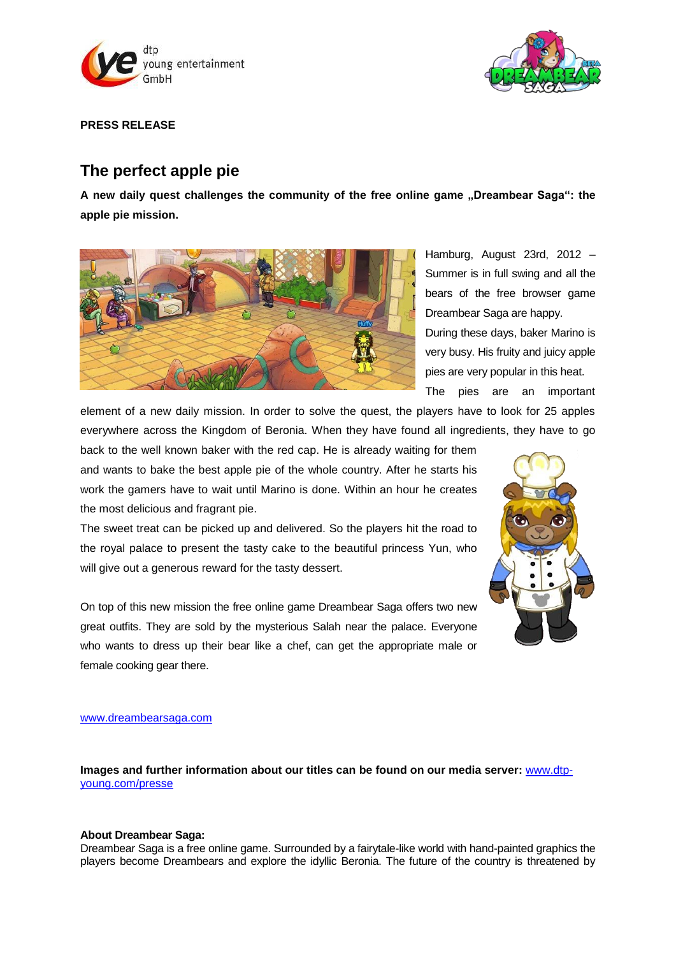



**PRESS RELEASE**

# **The perfect apple pie**

**A new daily quest challenges the community of the free online game "Dreambear Saga": the apple pie mission.**



Hamburg, August 23rd, 2012 – Summer is in full swing and all the bears of the free browser game Dreambear Saga are happy.

During these days, baker Marino is very busy. His fruity and juicy apple pies are very popular in this heat.

The pies are an important

element of a new daily mission. In order to solve the quest, the players have to look for 25 apples everywhere across the Kingdom of Beronia. When they have found all ingredients, they have to go

back to the well known baker with the red cap. He is already waiting for them and wants to bake the best apple pie of the whole country. After he starts his work the gamers have to wait until Marino is done. Within an hour he creates the most delicious and fragrant pie.

The sweet treat can be picked up and delivered. So the players hit the road to the royal palace to present the tasty cake to the beautiful princess Yun, who will give out a generous reward for the tasty dessert.

On top of this new mission the free online game Dreambear Saga offers two new great outfits. They are sold by the mysterious Salah near the palace. Everyone who wants to dress up their bear like a chef, can get the appropriate male or female cooking gear there.



#### [www.dreambearsaga.com](https://game.dreambearsaga.com/#referrer=86ajlx97drfviot5&code=pm230812EN/language=en_GB)

**Images and further information about our titles can be found on our media server:** [www.dtp](http://www.dtp-young.com/presse)[young.com/presse](http://www.dtp-young.com/presse)

### **About Dreambear Saga:**

Dreambear Saga is a free online game. Surrounded by a fairytale-like world with hand-painted graphics the players become Dreambears and explore the idyllic Beronia. The future of the country is threatened by